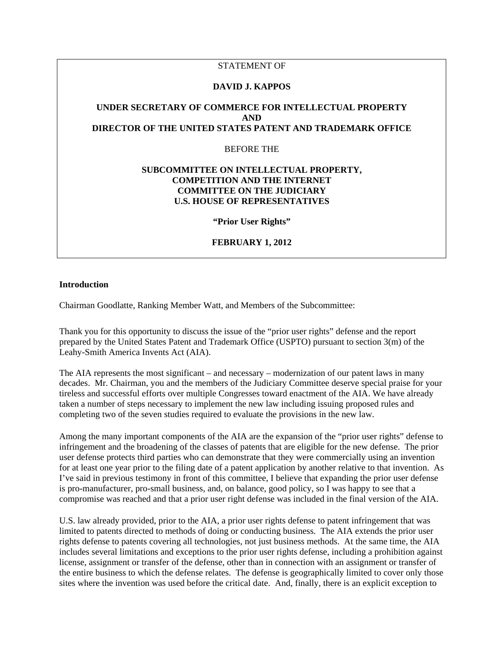## STATEMENT OF

#### **DAVID J. KAPPOS**

# **UNDER SECRETARY OF COMMERCE FOR INTELLECTUAL PROPERTY AND DIRECTOR OF THE UNITED STATES PATENT AND TRADEMARK OFFICE**

BEFORE THE

## **SUBCOMMITTEE ON INTELLECTUAL PROPERTY, COMPETITION AND THE INTERNET COMMITTEE ON THE JUDICIARY U.S. HOUSE OF REPRESENTATIVES**

**"Prior User Rights"** 

#### **FEBRUARY 1, 2012**

#### **Introduction**

Chairman Goodlatte, Ranking Member Watt, and Members of the Subcommittee:

Thank you for this opportunity to discuss the issue of the "prior user rights" defense and the report prepared by the United States Patent and Trademark Office (USPTO) pursuant to section 3(m) of the Leahy-Smith America Invents Act (AIA).

The AIA represents the most significant – and necessary – modernization of our patent laws in many decades. Mr. Chairman, you and the members of the Judiciary Committee deserve special praise for your tireless and successful efforts over multiple Congresses toward enactment of the AIA. We have already taken a number of steps necessary to implement the new law including issuing proposed rules and completing two of the seven studies required to evaluate the provisions in the new law.

Among the many important components of the AIA are the expansion of the "prior user rights" defense to infringement and the broadening of the classes of patents that are eligible for the new defense. The prior user defense protects third parties who can demonstrate that they were commercially using an invention for at least one year prior to the filing date of a patent application by another relative to that invention. As I've said in previous testimony in front of this committee, I believe that expanding the prior user defense is pro-manufacturer, pro-small business, and, on balance, good policy, so I was happy to see that a compromise was reached and that a prior user right defense was included in the final version of the AIA.

U.S. law already provided, prior to the AIA, a prior user rights defense to patent infringement that was limited to patents directed to methods of doing or conducting business. The AIA extends the prior user rights defense to patents covering all technologies, not just business methods. At the same time, the AIA includes several limitations and exceptions to the prior user rights defense, including a prohibition against license, assignment or transfer of the defense, other than in connection with an assignment or transfer of the entire business to which the defense relates. The defense is geographically limited to cover only those sites where the invention was used before the critical date. And, finally, there is an explicit exception to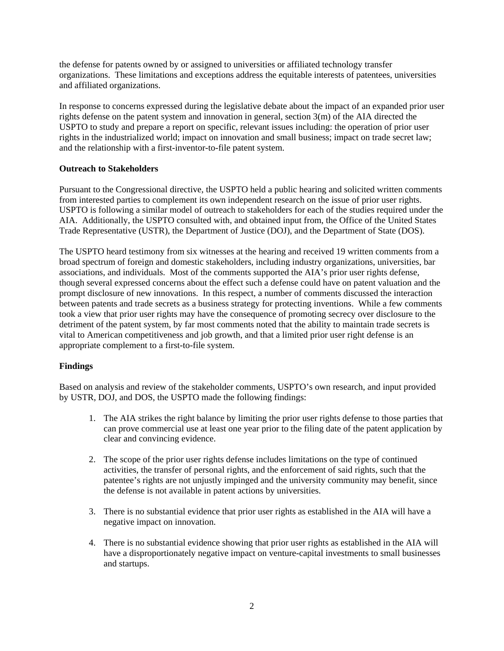the defense for patents owned by or assigned to universities or affiliated technology transfer organizations. These limitations and exceptions address the equitable interests of patentees, universities and affiliated organizations.

In response to concerns expressed during the legislative debate about the impact of an expanded prior user rights defense on the patent system and innovation in general, section 3(m) of the AIA directed the USPTO to study and prepare a report on specific, relevant issues including: the operation of prior user rights in the industrialized world; impact on innovation and small business; impact on trade secret law; and the relationship with a first-inventor-to-file patent system.

## **Outreach to Stakeholders**

Pursuant to the Congressional directive, the USPTO held a public hearing and solicited written comments from interested parties to complement its own independent research on the issue of prior user rights. USPTO is following a similar model of outreach to stakeholders for each of the studies required under the AIA. Additionally, the USPTO consulted with, and obtained input from, the Office of the United States Trade Representative (USTR), the Department of Justice (DOJ), and the Department of State (DOS).

The USPTO heard testimony from six witnesses at the hearing and received 19 written comments from a broad spectrum of foreign and domestic stakeholders, including industry organizations, universities, bar associations, and individuals. Most of the comments supported the AIA's prior user rights defense, though several expressed concerns about the effect such a defense could have on patent valuation and the prompt disclosure of new innovations. In this respect, a number of comments discussed the interaction between patents and trade secrets as a business strategy for protecting inventions. While a few comments took a view that prior user rights may have the consequence of promoting secrecy over disclosure to the detriment of the patent system, by far most comments noted that the ability to maintain trade secrets is vital to American competitiveness and job growth, and that a limited prior user right defense is an appropriate complement to a first-to-file system.

## **Findings**

Based on analysis and review of the stakeholder comments, USPTO's own research, and input provided by USTR, DOJ, and DOS, the USPTO made the following findings:

- 1. The AIA strikes the right balance by limiting the prior user rights defense to those parties that can prove commercial use at least one year prior to the filing date of the patent application by clear and convincing evidence.
- 2. The scope of the prior user rights defense includes limitations on the type of continued activities, the transfer of personal rights, and the enforcement of said rights, such that the patentee's rights are not unjustly impinged and the university community may benefit, since the defense is not available in patent actions by universities.
- 3. There is no substantial evidence that prior user rights as established in the AIA will have a negative impact on innovation.
- 4. There is no substantial evidence showing that prior user rights as established in the AIA will have a disproportionately negative impact on venture-capital investments to small businesses and startups.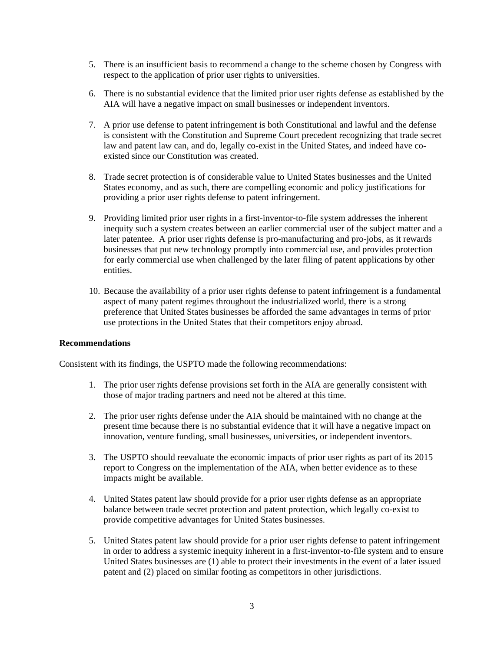- 5. There is an insufficient basis to recommend a change to the scheme chosen by Congress with respect to the application of prior user rights to universities.
- 6. There is no substantial evidence that the limited prior user rights defense as established by the AIA will have a negative impact on small businesses or independent inventors.
- 7. A prior use defense to patent infringement is both Constitutional and lawful and the defense is consistent with the Constitution and Supreme Court precedent recognizing that trade secret law and patent law can, and do, legally co-exist in the United States, and indeed have coexisted since our Constitution was created.
- 8. Trade secret protection is of considerable value to United States businesses and the United States economy, and as such, there are compelling economic and policy justifications for providing a prior user rights defense to patent infringement.
- 9. Providing limited prior user rights in a first-inventor-to-file system addresses the inherent inequity such a system creates between an earlier commercial user of the subject matter and a later patentee. A prior user rights defense is pro-manufacturing and pro-jobs, as it rewards businesses that put new technology promptly into commercial use, and provides protection for early commercial use when challenged by the later filing of patent applications by other entities.
- 10. Because the availability of a prior user rights defense to patent infringement is a fundamental aspect of many patent regimes throughout the industrialized world, there is a strong preference that United States businesses be afforded the same advantages in terms of prior use protections in the United States that their competitors enjoy abroad.

#### **Recommendations**

Consistent with its findings, the USPTO made the following recommendations:

- 1. The prior user rights defense provisions set forth in the AIA are generally consistent with those of major trading partners and need not be altered at this time.
- 2. The prior user rights defense under the AIA should be maintained with no change at the present time because there is no substantial evidence that it will have a negative impact on innovation, venture funding, small businesses, universities, or independent inventors.
- 3. The USPTO should reevaluate the economic impacts of prior user rights as part of its 2015 report to Congress on the implementation of the AIA, when better evidence as to these impacts might be available.
- 4. United States patent law should provide for a prior user rights defense as an appropriate balance between trade secret protection and patent protection, which legally co-exist to provide competitive advantages for United States businesses.
- 5. United States patent law should provide for a prior user rights defense to patent infringement in order to address a systemic inequity inherent in a first-inventor-to-file system and to ensure United States businesses are (1) able to protect their investments in the event of a later issued patent and (2) placed on similar footing as competitors in other jurisdictions.